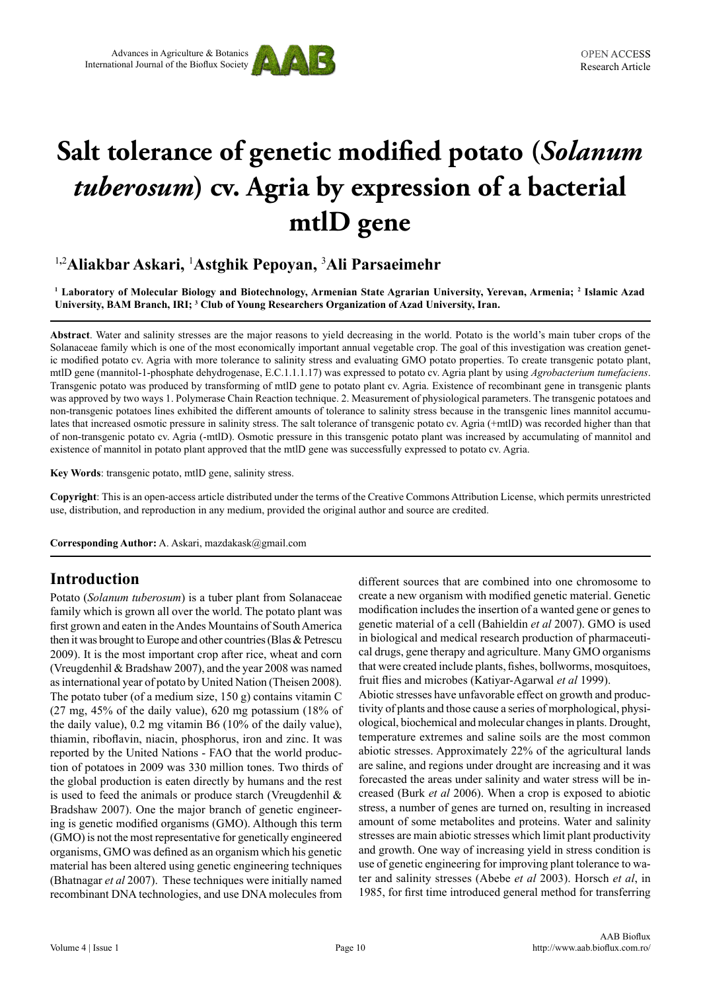

# **Salt tolerance of genetic modified potato (***Solanum tuberosum***) cv. Agria by expression of a bacterial mtlD gene**

## 1**,**2 **Aliakbar Askari,** <sup>1</sup> **Astghik Pepoyan,** <sup>3</sup> **Ali Parsaeimehr**

**1 Laboratory of Molecular Biology and Biotechnology, Armenian State Agrarian University, Yerevan, Armenia; 2 Islamic Azad University, BAM Branch, IRI; 3 Club of Young Researchers Organization of Azad University, Iran.**

**Abstract**. Water and salinity stresses are the major reasons to yield decreasing in the world. Potato is the world's main tuber crops of the Solanaceae family which is one of the most economically important annual vegetable crop. The goal of this investigation was creation genetic modified potato cv. Agria with more tolerance to salinity stress and evaluating GMO potato properties. To create transgenic potato plant, mtlD gene (mannitol-1-phosphate dehydrogenase, E.C.1.1.1.17) was expressed to potato cv. Agria plant by using *Agrobacterium tumefaciens*. Transgenic potato was produced by transforming of mtlD gene to potato plant cv. Agria. Existence of recombinant gene in transgenic plants was approved by two ways 1. Polymerase Chain Reaction technique. 2. Measurement of physiological parameters. The transgenic potatoes and non-transgenic potatoes lines exhibited the different amounts of tolerance to salinity stress because in the transgenic lines mannitol accumulates that increased osmotic pressure in salinity stress. The salt tolerance of transgenic potato cv. Agria (+mtlD) was recorded higher than that of non-transgenic potato cv. Agria (-mtlD). Osmotic pressure in this transgenic potato plant was increased by accumulating of mannitol and existence of mannitol in potato plant approved that the mtlD gene was successfully expressed to potato cv. Agria.

**Key Words**: transgenic potato, mtlD gene, salinity stress.

**Copyright**: This is an open-access article distributed under the terms of the Creative Commons Attribution License, which permits unrestricted use, distribution, and reproduction in any medium, provided the original author and source are credited.

**Corresponding Author:** A. Askari, mazdakask@gmail.com

## **Introduction**

Potato (*Solanum tuberosum*) is a tuber plant from Solanaceae family which is grown all over the world. The potato plant was first grown and eaten in the Andes Mountains of South America then it was brought to Europe and other countries (Blas & Petrescu 2009). It is the most important crop after rice, wheat and corn (Vreugdenhil & Bradshaw 2007), and the year 2008 was named as international year of potato by United Nation (Theisen 2008). The potato tuber (of a medium size, 150 g) contains vitamin C (27 mg, 45% of the daily value), 620 mg potassium (18% of the daily value), 0.2 mg vitamin B6 (10% of the daily value), thiamin, riboflavin, niacin, phosphorus, iron and zinc. It was reported by the United Nations - FAO that the world production of potatoes in 2009 was 330 million tones. Two thirds of the global production is eaten directly by humans and the rest is used to feed the animals or produce starch (Vreugdenhil & Bradshaw 2007). One the major branch of genetic engineering is genetic modified organisms (GMO). Although this term (GMO) is not the most representative for genetically engineered organisms, GMO was defined as an organism which his genetic material has been altered using genetic engineering techniques (Bhatnagar *et al* 2007). These techniques were initially named recombinant DNA technologies, and use DNA molecules from

different sources that are combined into one chromosome to create a new organism with modified genetic material. Genetic modification includes the insertion of a wanted gene or genes to genetic material of a cell (Bahieldin *et al* 2007). GMO is used in biological and medical research production of pharmaceutical drugs, gene therapy and agriculture. Many GMO organisms that were created include plants, fishes, bollworms, mosquitoes, fruit flies and microbes (Katiyar-Agarwal *et al* 1999).

Abiotic stresses have unfavorable effect on growth and productivity of plants and those cause a series of morphological, physiological, biochemical and molecular changes in plants. Drought, temperature extremes and saline soils are the most common abiotic stresses. Approximately 22% of the agricultural lands are saline, and regions under drought are increasing and it was forecasted the areas under salinity and water stress will be increased (Burk *et al* 2006). When a crop is exposed to abiotic stress, a number of genes are turned on, resulting in increased amount of some metabolites and proteins. Water and salinity stresses are main abiotic stresses which limit plant productivity and growth. One way of increasing yield in stress condition is use of genetic engineering for improving plant tolerance to water and salinity stresses (Abebe *et al* 2003). Horsch *et al*, in 1985, for first time introduced general method for transferring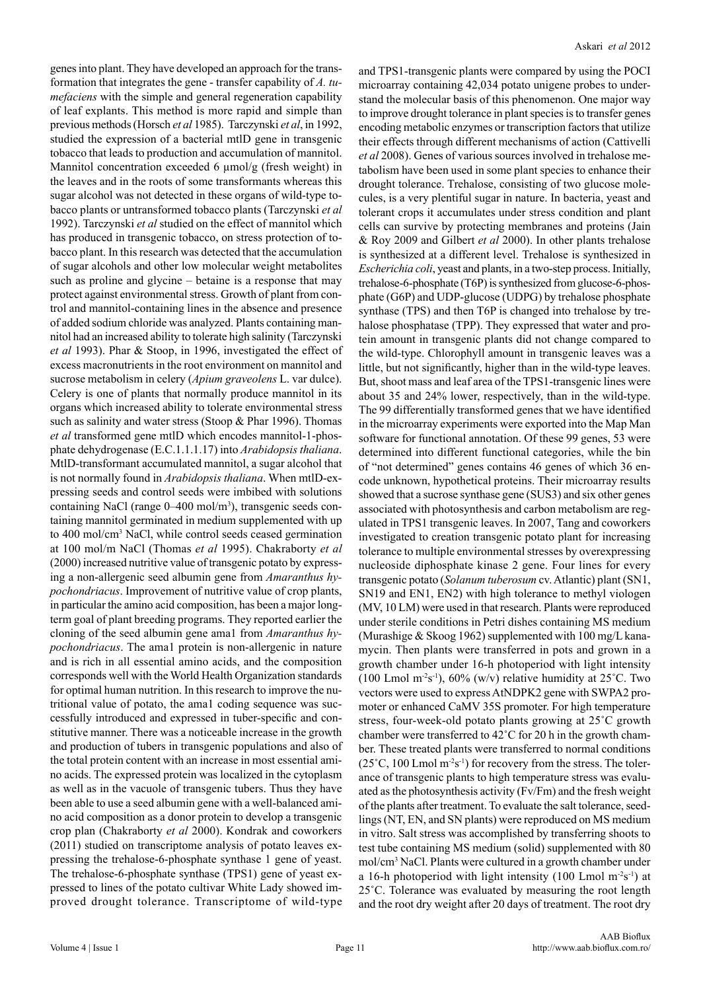genes into plant. They have developed an approach for the transformation that integrates the gene - transfer capability of *A. tumefaciens* with the simple and general regeneration capability of leaf explants. This method is more rapid and simple than previous methods (Horsch *et al* 1985). Tarczynski *et al*, in 1992, studied the expression of a bacterial mtlD gene in transgenic tobacco that leads to production and accumulation of mannitol. Mannitol concentration exceeded 6  $\mu$ mol/g (fresh weight) in the leaves and in the roots of some transformants whereas this sugar alcohol was not detected in these organs of wild-type tobacco plants or untransformed tobacco plants (Tarczynski *et al*  1992). Tarczynski *et al* studied on the effect of mannitol which has produced in transgenic tobacco, on stress protection of tobacco plant. In this research was detected that the accumulation of sugar alcohols and other low molecular weight metabolites such as proline and glycine – betaine is a response that may protect against environmental stress. Growth of plant from control and mannitol-containing lines in the absence and presence of added sodium chloride was analyzed. Plants containing mannitol had an increased ability to tolerate high salinity (Tarczynski *et al* 1993). Phar & Stoop, in 1996, investigated the effect of excess macronutrients in the root environment on mannitol and sucrose metabolism in celery (*Apium graveolens* L. var dulce). Celery is one of plants that normally produce mannitol in its organs which increased ability to tolerate environmental stress such as salinity and water stress (Stoop & Phar 1996). Thomas *et al* transformed gene mtlD which encodes mannitol-1-phosphate dehydrogenase (E.C.1.1.1.17) into *Arabidopsis thaliana*. MtlD-transformant accumulated mannitol, a sugar alcohol that is not normally found in *Arabidopsis thaliana*. When mtlD-expressing seeds and control seeds were imbibed with solutions containing NaCl (range 0–400 mol/m<sup>3</sup>), transgenic seeds containing mannitol germinated in medium supplemented with up to 400 mol/cm<sup>3</sup> NaCl, while control seeds ceased germination at 100 mol/m NaCl (Thomas *et al* 1995). Chakraborty *et al*  (2000) increased nutritive value of transgenic potato by expressing a non-allergenic seed albumin gene from *Amaranthus hypochondriacus*. Improvement of nutritive value of crop plants, in particular the amino acid composition, has been a major longterm goal of plant breeding programs. They reported earlier the cloning of the seed albumin gene ama1 from *Amaranthus hypochondriacus*. The ama1 protein is non-allergenic in nature and is rich in all essential amino acids, and the composition corresponds well with the World Health Organization standards for optimal human nutrition. In this research to improve the nutritional value of potato, the ama1 coding sequence was successfully introduced and expressed in tuber-specific and constitutive manner. There was a noticeable increase in the growth and production of tubers in transgenic populations and also of the total protein content with an increase in most essential amino acids. The expressed protein was localized in the cytoplasm as well as in the vacuole of transgenic tubers. Thus they have been able to use a seed albumin gene with a well-balanced amino acid composition as a donor protein to develop a transgenic crop plan (Chakraborty *et al* 2000). Kondrak and coworkers (2011) studied on transcriptome analysis of potato leaves expressing the trehalose-6-phosphate synthase 1 gene of yeast. The trehalose-6-phosphate synthase (TPS1) gene of yeast expressed to lines of the potato cultivar White Lady showed improved drought tolerance. Transcriptome of wild-type

and TPS1-transgenic plants were compared by using the POCI microarray containing 42,034 potato unigene probes to understand the molecular basis of this phenomenon. One major way to improve drought tolerance in plant species is to transfer genes encoding metabolic enzymes or transcription factors that utilize their effects through different mechanisms of action (Cattivelli *et al* 2008). Genes of various sources involved in trehalose metabolism have been used in some plant species to enhance their drought tolerance. Trehalose, consisting of two glucose molecules, is a very plentiful sugar in nature. In bacteria, yeast and tolerant crops it accumulates under stress condition and plant cells can survive by protecting membranes and proteins (Jain & Roy 2009 and Gilbert *et al* 2000). In other plants trehalose is synthesized at a different level. Trehalose is synthesized in *Escherichia coli*, yeast and plants, in a two-step process. Initially, trehalose-6-phosphate (T6P) is synthesized from glucose-6-phosphate (G6P) and UDP-glucose (UDPG) by trehalose phosphate synthase (TPS) and then T6P is changed into trehalose by trehalose phosphatase (TPP). They expressed that water and protein amount in transgenic plants did not change compared to the wild-type. Chlorophyll amount in transgenic leaves was a little, but not significantly, higher than in the wild-type leaves. But, shoot mass and leaf area of the TPS1-transgenic lines were about 35 and 24% lower, respectively, than in the wild-type. The 99 differentially transformed genes that we have identified in the microarray experiments were exported into the Map Man software for functional annotation. Of these 99 genes, 53 were determined into different functional categories, while the bin of "not determined" genes contains 46 genes of which 36 encode unknown, hypothetical proteins. Their microarray results showed that a sucrose synthase gene (SUS3) and six other genes associated with photosynthesis and carbon metabolism are regulated in TPS1 transgenic leaves. In 2007, Tang and coworkers investigated to creation transgenic potato plant for increasing tolerance to multiple environmental stresses by overexpressing nucleoside diphosphate kinase 2 gene. Four lines for every transgenic potato (*Solanum tuberosum* cv. Atlantic) plant (SN1, SN19 and EN1, EN2) with high tolerance to methyl viologen (MV, 10 LM) were used in that research. Plants were reproduced under sterile conditions in Petri dishes containing MS medium (Murashige & Skoog 1962) supplemented with 100 mg/L kanamycin. Then plants were transferred in pots and grown in a growth chamber under 16-h photoperiod with light intensity (100 Lmol m<sup>-2</sup>s<sup>-1</sup>), 60% (w/v) relative humidity at 25<sup>°</sup>C. Two vectors were used to express AtNDPK2 gene with SWPA2 promoter or enhanced CaMV 35S promoter. For high temperature stress, four-week-old potato plants growing at 25˚C growth chamber were transferred to 42˚C for 20 h in the growth chamber. These treated plants were transferred to normal conditions  $(25\degree C, 100$  Lmol m<sup>-2</sup>s<sup>-1</sup>) for recovery from the stress. The tolerance of transgenic plants to high temperature stress was evaluated as the photosynthesis activity (Fv/Fm) and the fresh weight of the plants after treatment. To evaluate the salt tolerance, seedlings (NT, EN, and SN plants) were reproduced on MS medium in vitro. Salt stress was accomplished by transferring shoots to test tube containing MS medium (solid) supplemented with 80 mol/cm<sup>3</sup> NaCl. Plants were cultured in a growth chamber under a 16-h photoperiod with light intensity (100 Lmol  $m<sup>-2</sup>s<sup>-1</sup>$ ) at 25˚C. Tolerance was evaluated by measuring the root length and the root dry weight after 20 days of treatment. The root dry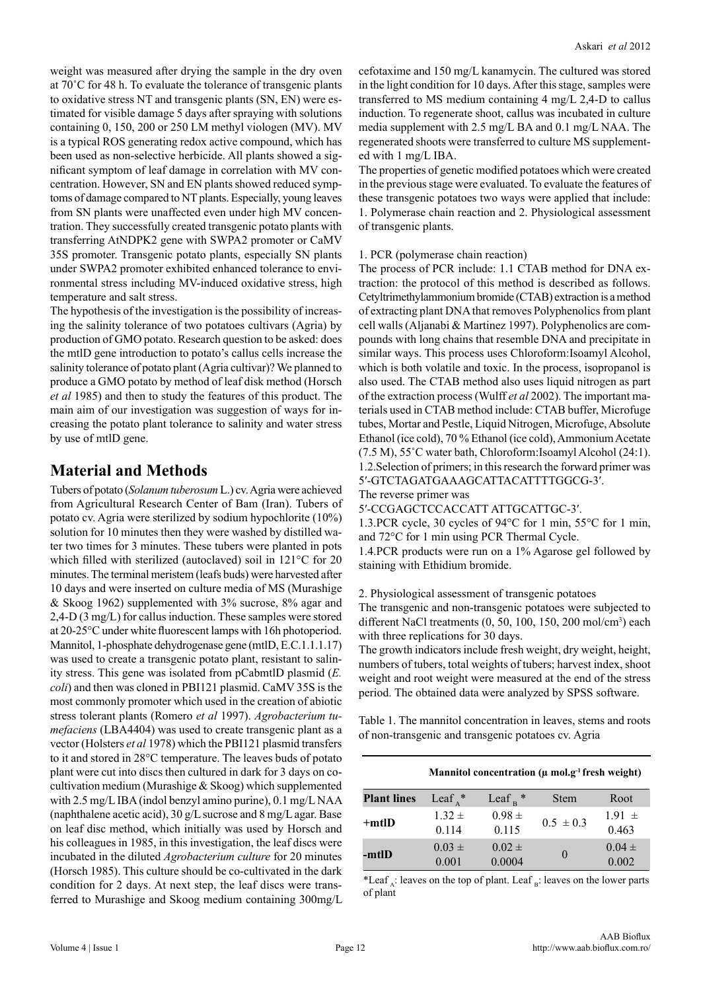weight was measured after drying the sample in the dry oven at 70˚C for 48 h. To evaluate the tolerance of transgenic plants to oxidative stress NT and transgenic plants (SN, EN) were estimated for visible damage 5 days after spraying with solutions containing 0, 150, 200 or 250 LM methyl viologen (MV). MV is a typical ROS generating redox active compound, which has been used as non-selective herbicide. All plants showed a significant symptom of leaf damage in correlation with MV concentration. However, SN and EN plants showed reduced symptoms of damage compared to NT plants. Especially, young leaves from SN plants were unaffected even under high MV concentration. They successfully created transgenic potato plants with transferring AtNDPK2 gene with SWPA2 promoter or CaMV 35S promoter. Transgenic potato plants, especially SN plants under SWPA2 promoter exhibited enhanced tolerance to environmental stress including MV-induced oxidative stress, high temperature and salt stress.

The hypothesis of the investigation is the possibility of increasing the salinity tolerance of two potatoes cultivars (Agria) by production of GMO potato. Research question to be asked: does the mtlD gene introduction to potato's callus cells increase the salinity tolerance of potato plant (Agria cultivar)? We planned to produce a GMO potato by method of leaf disk method (Horsch *et al* 1985) and then to study the features of this product. The main aim of our investigation was suggestion of ways for increasing the potato plant tolerance to salinity and water stress by use of mtlD gene.

## **Material and Methods**

Tubers of potato (*Solanum tuberosum* L.) cv. Agria were achieved from Agricultural Research Center of Bam (Iran). Tubers of potato cv. Agria were sterilized by sodium hypochlorite (10%) solution for 10 minutes then they were washed by distilled water two times for 3 minutes. These tubers were planted in pots which filled with sterilized (autoclaved) soil in 121°C for 20 minutes. The terminal meristem (leafs buds) were harvested after 10 days and were inserted on culture media of MS (Murashige & Skoog 1962) supplemented with 3% sucrose, 8% agar and 2,4-D (3 mg/L) for callus induction. These samples were stored at 20-25°C under white fluorescent lamps with 16h photoperiod. Mannitol, 1-phosphate dehydrogenase gene (mtlD, E.C.1.1.1.17) was used to create a transgenic potato plant, resistant to salinity stress. This gene was isolated from pCabmtlD plasmid (*E. coli*) and then was cloned in PBI121 plasmid. CaMV 35S is the most commonly promoter which used in the creation of abiotic stress tolerant plants (Romero *et al* 1997). *Agrobacterium tumefaciens* (LBA4404) was used to create transgenic plant as a vector (Holsters *et al* 1978) which the PBI121 plasmid transfers to it and stored in 28°C temperature. The leaves buds of potato plant were cut into discs then cultured in dark for 3 days on cocultivation medium (Murashige & Skoog) which supplemented with 2.5 mg/L IBA (indol benzyl amino purine), 0.1 mg/L NAA (naphthalene acetic acid), 30 g/L sucrose and 8 mg/L agar. Base on leaf disc method, which initially was used by Horsch and his colleagues in 1985, in this investigation, the leaf discs were incubated in the diluted *Agrobacterium culture* for 20 minutes (Horsch 1985). This culture should be co-cultivated in the dark condition for 2 days. At next step, the leaf discs were transferred to Murashige and Skoog medium containing 300mg/L cefotaxime and 150 mg/L kanamycin. The cultured was stored in the light condition for 10 days. After this stage, samples were transferred to MS medium containing 4 mg/L 2,4-D to callus induction. To regenerate shoot, callus was incubated in culture media supplement with 2.5 mg/L BA and 0.1 mg/L NAA. The regenerated shoots were transferred to culture MS supplemented with 1 mg/L IBA.

The properties of genetic modified potatoes which were created in the previous stage were evaluated. To evaluate the features of these transgenic potatoes two ways were applied that include: 1. Polymerase chain reaction and 2. Physiological assessment of transgenic plants.

#### 1. PCR (polymerase chain reaction)

The process of PCR include: 1.1 CTAB method for DNA extraction: the protocol of this method is described as follows. Cetyltrimethylammonium bromide (CTAB) extraction is a method of extracting plant DNA that removes Polyphenolics from plant cell walls (Aljanabi & Martinez 1997). Polyphenolics are compounds with long chains that resemble DNA and precipitate in similar ways. This process uses Chloroform:Isoamyl Alcohol, which is both volatile and toxic. In the process, isopropanol is also used. The CTAB method also uses liquid nitrogen as part of the extraction process (Wulff *et al* 2002). The important materials used in CTAB method include: CTAB buffer, Microfuge tubes, Mortar and Pestle, Liquid Nitrogen, Microfuge, Absolute Ethanol (ice cold), 70 % Ethanol (ice cold), Ammonium Acetate (7.5 M), 55˚C water bath, Chloroform:Isoamyl Alcohol (24:1). 1.2.Selection of primers; in this research the forward primer was 5′-GTCTAGATGAAAGCATTACATTTTGGCG-3′. The reverse primer was

5′-CCGAGCTCCACCATT ATTGCATTGC-3′.

1.3.PCR cycle, 30 cycles of 94°C for 1 min, 55°C for 1 min, and 72°C for 1 min using PCR Thermal Cycle.

1.4.PCR products were run on a 1% Agarose gel followed by staining with Ethidium bromide.

2. Physiological assessment of transgenic potatoes

The transgenic and non-transgenic potatoes were subjected to different NaCl treatments (0, 50, 100, 150, 200 mol/cm<sup>3</sup>) each with three replications for 30 days.

The growth indicators include fresh weight, dry weight, height, numbers of tubers, total weights of tubers; harvest index, shoot weight and root weight were measured at the end of the stress period. The obtained data were analyzed by SPSS software.

Table 1. The mannitol concentration in leaves, stems and roots of non-transgenic and transgenic potatoes cv. Agria

|                    |                     |                      | Mannitol concentration ( $\mu$ mol.g <sup>-1</sup> fresh weight) |                     |
|--------------------|---------------------|----------------------|------------------------------------------------------------------|---------------------|
| <b>Plant lines</b> | Leaf $^*$           | Leaf $_{\rm B}$ *    | <b>Stem</b>                                                      | Root                |
| $+$ mtlD           | $1.32 \pm$<br>0.114 | $0.98 \pm$<br>0.115  | $0.5 \pm 0.3$                                                    | $1.91 \pm$<br>0.463 |
| -mtlD              | $0.03 \pm$<br>0.001 | $0.02 \pm$<br>0.0004 | $\theta$                                                         | $0.04 \pm$<br>0.002 |

\*Leaf  $\alpha$ : leaves on the top of plant. Leaf  $\beta$ : leaves on the lower parts of plant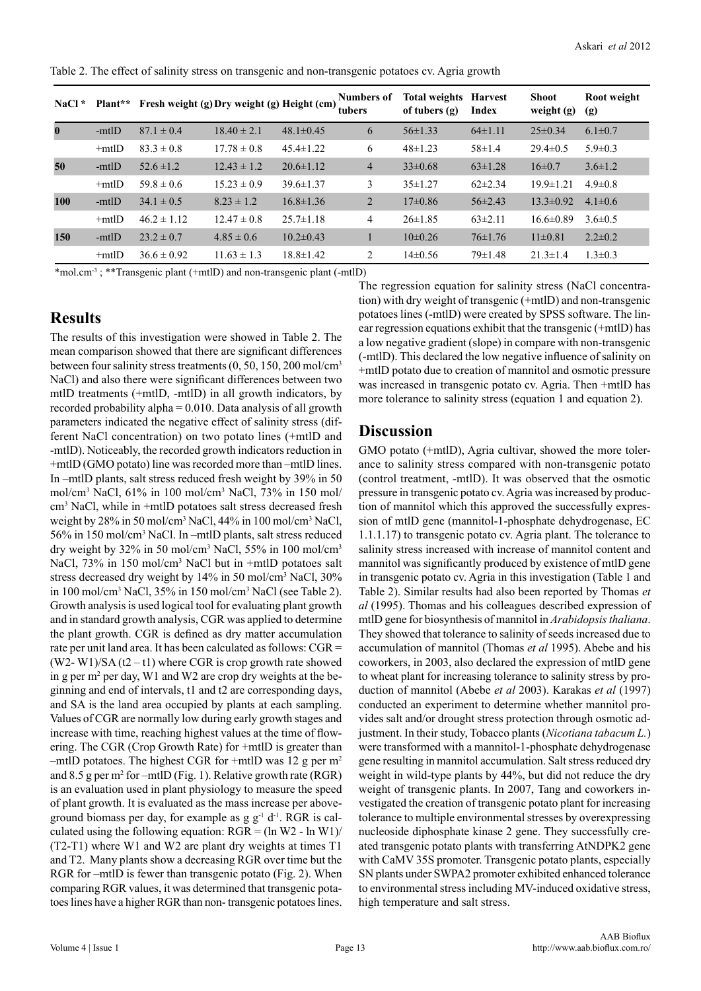Table 2. The effect of salinity stress on transgenic and non-transgenic potatoes cv. Agria growth

| $NaCl^*$ |             | Plant** Fresh weight (g) Dry weight (g) Height (cm) |                 |                 | <b>Numbers of</b><br>tubers | <b>Total weights</b><br>of tubers (g) | <b>Harvest</b><br>Index | <b>Shoot</b><br>weight (g) | Root weight<br>(g) |
|----------|-------------|-----------------------------------------------------|-----------------|-----------------|-----------------------------|---------------------------------------|-------------------------|----------------------------|--------------------|
| $\bf{0}$ | -mtlD       | $87.1 \pm 0.4$                                      | $18.40 \pm 2.1$ | $48.1 \pm 0.45$ | 6                           | $56 \pm 1.33$                         | $64\pm1.11$             | $25 \pm 0.34$              | $6.1 \pm 0.7$      |
|          | $+$ mtlD    | $83.3 \pm 0.8$                                      | $17.78 \pm 0.8$ | $45.4 \pm 1.22$ | 6                           | $48\pm1.23$                           | $58 \pm 1.4$            | $29.4 \pm 0.5$             | $5.9 \pm 0.3$      |
| 50       | -mtlD       | $52.6 \pm 1.2$                                      | $12.43 \pm 1.2$ | $20.6 \pm 1.12$ | $\overline{4}$              | $33\pm0.68$                           | $63 \pm 1.28$           | $16\pm0.7$                 | $3.6 \pm 1.2$      |
|          | $+$ mtl $D$ | $59.8 \pm 0.6$                                      | $15.23 \pm 0.9$ | $39.6 \pm 1.37$ | 3                           | $35 \pm 1.27$                         | $62\pm2.34$             | $19.9 \pm 1.21$            | $4.9 \pm 0.8$      |
| 100      | -mtlD       | $34.1 \pm 0.5$                                      | $8.23 \pm 1.2$  | $16.8 \pm 1.36$ | 2                           | $17\pm0.86$                           | $56\pm2.43$             | $13.3 \pm 0.92$            | $4.1 \pm 0.6$      |
|          | $+$ mtlD    | $46.2 \pm 1.12$                                     | $12.47 \pm 0.8$ | $25.7 \pm 1.18$ | 4                           | $26 \pm 1.85$                         | $63\pm2.11$             | $16.6 \pm 0.89$            | $3.6 \pm 0.5$      |
| 150      | -mtlD       | $23.2 \pm 0.7$                                      | $4.85 \pm 0.6$  | $10.2\pm 0.43$  |                             | $10\pm 0.26$                          | $76 \pm 1.76$           | $11\pm0.81$                | $2.2 \pm 0.2$      |
|          | $+$ mtlD    | $36.6 \pm 0.92$                                     | $11.63 \pm 1.3$ | $18.8 \pm 1.42$ | 2                           | $14\pm0.56$                           | $79 \pm 1.48$           | $21.3 \pm 1.4$             | $1.3 \pm 0.3$      |

\*mol.cm-3 ; \*\*Transgenic plant (+mtlD) and non-transgenic plant (-mtlD)

#### **Results**

The results of this investigation were showed in Table 2. The mean comparison showed that there are significant differences between four salinity stress treatments (0, 50, 150, 200 mol/cm<sup>3</sup> NaCl) and also there were significant differences between two mtlD treatments (+mtlD, -mtlD) in all growth indicators, by recorded probability alpha  $= 0.010$ . Data analysis of all growth parameters indicated the negative effect of salinity stress (different NaCl concentration) on two potato lines (+mtlD and -mtlD). Noticeably, the recorded growth indicators reduction in +mtlD (GMO potato) line was recorded more than –mtlD lines. In –mtlD plants, salt stress reduced fresh weight by 39% in 50 mol/cm<sup>3</sup> NaCl, 61% in 100 mol/cm<sup>3</sup> NaCl, 73% in 150 mol/ cm3 NaCl, while in +mtlD potatoes salt stress decreased fresh weight by 28% in 50 mol/cm<sup>3</sup> NaCl, 44% in 100 mol/cm<sup>3</sup> NaCl, 56% in 150 mol/cm<sup>3</sup> NaCl. In –mtlD plants, salt stress reduced dry weight by 32% in 50 mol/cm<sup>3</sup> NaCl, 55% in 100 mol/cm<sup>3</sup> NaCl, 73% in 150 mol/cm<sup>3</sup> NaCl but in +mtlD potatoes salt stress decreased dry weight by 14% in 50 mol/cm<sup>3</sup> NaCl, 30% in 100 mol/cm<sup>3</sup> NaCl, 35% in 150 mol/cm<sup>3</sup> NaCl (see Table 2). Growth analysis is used logical tool for evaluating plant growth and in standard growth analysis, CGR was applied to determine the plant growth. CGR is defined as dry matter accumulation rate per unit land area. It has been calculated as follows: CGR =  $(W2-W1)/SA(t2-t1)$  where CGR is crop growth rate showed in g per m<sup>2</sup> per day, W1 and W2 are crop dry weights at the beginning and end of intervals, t1 and t2 are corresponding days, and SA is the land area occupied by plants at each sampling. Values of CGR are normally low during early growth stages and increase with time, reaching highest values at the time of flowering. The CGR (Crop Growth Rate) for +mtlD is greater than –mtlD potatoes. The highest CGR for +mtlD was 12 g per  $m<sup>2</sup>$ and 8.5 g per  $m^2$  for  $-mtID$  (Fig. 1). Relative growth rate (RGR) is an evaluation used in plant physiology to measure the speed of plant growth. It is evaluated as the mass increase per aboveground biomass per day, for example as  $g g^{-1} d^{-1}$ . RGR is calculated using the following equation:  $RGR = (ln W2 - ln W1)/$ (T2-T1) where W1 and W2 are plant dry weights at times T1 and T2. Many plants show a decreasing RGR over time but the RGR for –mtlD is fewer than transgenic potato (Fig. 2). When comparing RGR values, it was determined that transgenic potatoes lines have a higher RGR than non- transgenic potatoes lines.

The regression equation for salinity stress (NaCl concentration) with dry weight of transgenic (+mtlD) and non-transgenic potatoes lines (-mtlD) were created by SPSS software. The linear regression equations exhibit that the transgenic (+mtlD) has a low negative gradient (slope) in compare with non-transgenic (-mtlD). This declared the low negative influence of salinity on +mtlD potato due to creation of mannitol and osmotic pressure was increased in transgenic potato cv. Agria. Then +mtlD has more tolerance to salinity stress (equation 1 and equation 2).

### **Discussion**

GMO potato (+mtlD), Agria cultivar, showed the more tolerance to salinity stress compared with non-transgenic potato (control treatment, -mtlD). It was observed that the osmotic pressure in transgenic potato cv. Agria was increased by production of mannitol which this approved the successfully expression of mtlD gene (mannitol-1-phosphate dehydrogenase, EC 1.1.1.17) to transgenic potato cv. Agria plant. The tolerance to salinity stress increased with increase of mannitol content and mannitol was significantly produced by existence of mtlD gene in transgenic potato cv. Agria in this investigation (Table 1 and Table 2). Similar results had also been reported by Thomas *et al* (1995). Thomas and his colleagues described expression of mtlD gene for biosynthesis of mannitol in *Arabidopsis thaliana*. They showed that tolerance to salinity of seeds increased due to accumulation of mannitol (Thomas *et al* 1995). Abebe and his coworkers, in 2003, also declared the expression of mtlD gene to wheat plant for increasing tolerance to salinity stress by production of mannitol (Abebe *et al* 2003). Karakas *et al* (1997) conducted an experiment to determine whether mannitol provides salt and/or drought stress protection through osmotic adjustment. In their study, Tobacco plants (*Nicotiana tabacum L.*) were transformed with a mannitol-1-phosphate dehydrogenase gene resulting in mannitol accumulation. Salt stress reduced dry weight in wild-type plants by 44%, but did not reduce the dry weight of transgenic plants. In 2007, Tang and coworkers investigated the creation of transgenic potato plant for increasing tolerance to multiple environmental stresses by overexpressing nucleoside diphosphate kinase 2 gene. They successfully created transgenic potato plants with transferring AtNDPK2 gene with CaMV 35S promoter. Transgenic potato plants, especially SN plants under SWPA2 promoter exhibited enhanced tolerance to environmental stress including MV-induced oxidative stress, high temperature and salt stress.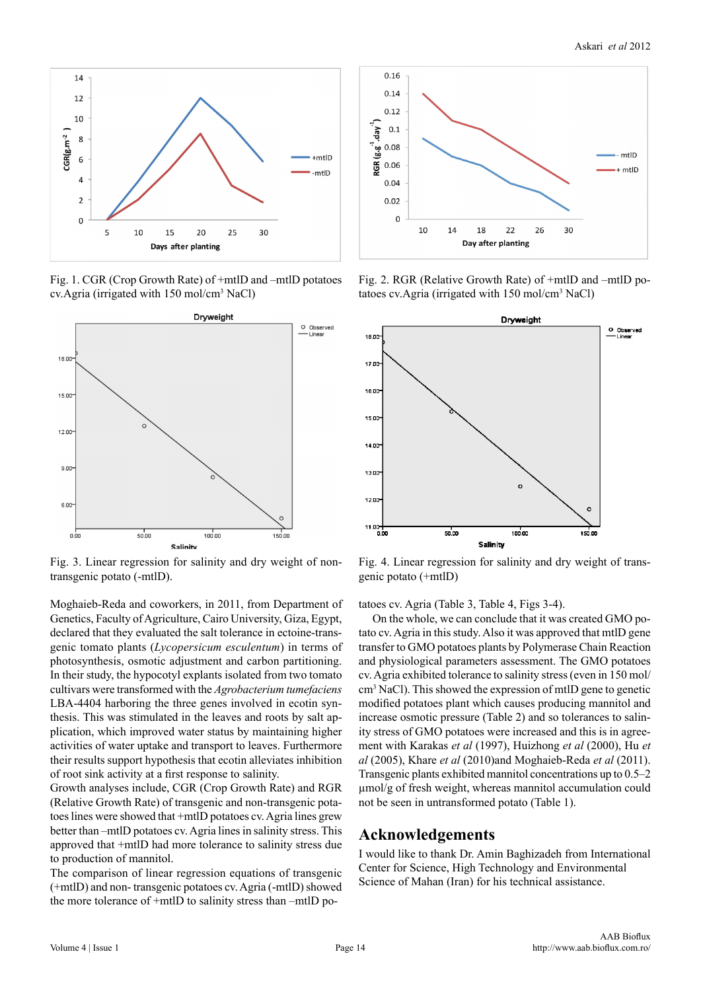

Fig. 1. CGR (Crop Growth Rate) of +mtlD and –mtlD potatoes cv. Agria (irrigated with 150 mol/cm<sup>3</sup> NaCl)



Fig. 3. Linear regression for salinity and dry weight of nontransgenic potato (-mtlD).

Moghaieb-Reda and coworkers, in 2011, from Department of Genetics, Faculty of Agriculture, Cairo University, Giza, Egypt, declared that they evaluated the salt tolerance in ectoine-transgenic tomato plants (*Lycopersicum esculentum*) in terms of photosynthesis, osmotic adjustment and carbon partitioning. In their study, the hypocotyl explants isolated from two tomato cultivars were transformed with the *Agrobacterium tumefaciens*  LBA-4404 harboring the three genes involved in ecotin synthesis. This was stimulated in the leaves and roots by salt application, which improved water status by maintaining higher activities of water uptake and transport to leaves. Furthermore their results support hypothesis that ecotin alleviates inhibition of root sink activity at a first response to salinity.

Growth analyses include, CGR (Crop Growth Rate) and RGR (Relative Growth Rate) of transgenic and non-transgenic potatoes lines were showed that +mtlD potatoes cv. Agria lines grew better than –mtlD potatoes cv. Agria lines in salinity stress. This approved that +mtlD had more tolerance to salinity stress due to production of mannitol.

The comparison of linear regression equations of transgenic (+mtlD) and non- transgenic potatoes cv. Agria (-mtlD) showed the more tolerance of +mtlD to salinity stress than –mtlD po-



Fig. 2. RGR (Relative Growth Rate) of +mtlD and –mtlD potatoes cv.Agria (irrigated with 150 mol/cm<sup>3</sup> NaCl)



Fig. 4. Linear regression for salinity and dry weight of transgenic potato (+mtlD)

tatoes cv. Agria (Table 3, Table 4, Figs 3-4).

 On the whole, we can conclude that it was created GMO potato cv. Agria in this study. Also it was approved that mtlD gene transfer to GMO potatoes plants by Polymerase Chain Reaction and physiological parameters assessment. The GMO potatoes cv. Agria exhibited tolerance to salinity stress (even in 150 mol/ cm3 NaCl). This showed the expression of mtlD gene to genetic modified potatoes plant which causes producing mannitol and increase osmotic pressure (Table 2) and so tolerances to salinity stress of GMO potatoes were increased and this is in agreement with Karakas *et al* (1997), Huizhong *et al* (2000), Hu *et al* (2005), Khare *et al* (2010)and Moghaieb-Reda *et al* (2011). Transgenic plants exhibited mannitol concentrations up to 0.5–2 µmol/g of fresh weight, whereas mannitol accumulation could not be seen in untransformed potato (Table 1).

#### **Acknowledgements**

I would like to thank Dr. Amin Baghizadeh from International Center for Science, High Technology and Environmental Science of Mahan (Iran) for his technical assistance.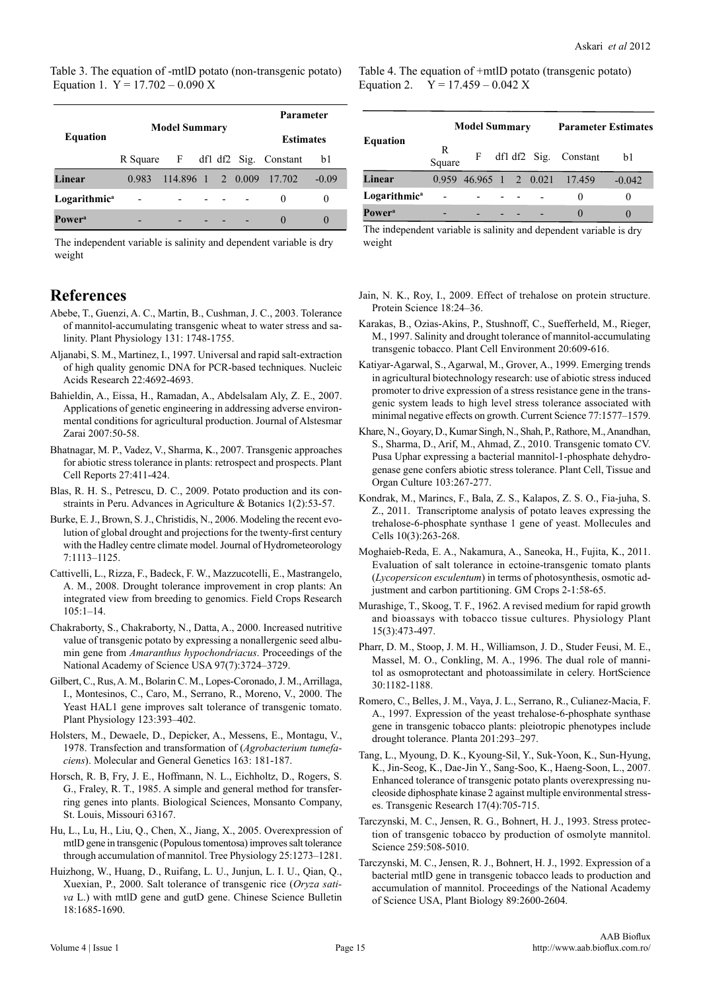Table 3. The equation of -mtlD potato (non-transgenic potato) Equation 1.  $Y = 17.702 - 0.090 X$ 

|                          |       |                      | Parameter        |  |                                  |         |
|--------------------------|-------|----------------------|------------------|--|----------------------------------|---------|
| <b>Equation</b>          |       | <b>Model Summary</b> | <b>Estimates</b> |  |                                  |         |
|                          |       |                      |                  |  | R Square F df1 df2 Sig. Constant | b1      |
| Linear                   | 0.983 | $114.896$ 1 2 0.009  |                  |  | 17.702                           | $-0.09$ |
| Logarithmic <sup>a</sup> |       |                      |                  |  | $\theta$                         | 0       |
| Power <sup>a</sup>       |       |                      |                  |  |                                  |         |

The independent variable is salinity and dependent variable is dry weight

#### **References**

- Abebe, T., Guenzi, A. C., Martin, B., Cushman, J. C., 2003. Tolerance of mannitol-accumulating transgenic wheat to water stress and salinity. Plant Physiology 131: 1748-1755.
- Aljanabi, S. M., Martinez, I., 1997. Universal and rapid salt-extraction of high quality genomic DNA for PCR-based techniques. Nucleic Acids Research 22:4692-4693.
- Bahieldin, A., Eissa, H., Ramadan, A., Abdelsalam Aly, Z. E., 2007. Applications of genetic engineering in addressing adverse environmental conditions for agricultural production. Journal of Alstesmar Zarai 2007:50-58.
- Bhatnagar, M. P., Vadez, V., Sharma, K., 2007. Transgenic approaches for abiotic stress tolerance in plants: retrospect and prospects. Plant Cell Reports 27:411-424.
- Blas, R. H. S., Petrescu, D. C., 2009. Potato production and its constraints in Peru. Advances in Agriculture & Botanics 1(2):53-57.
- Burke, E. J., Brown, S. J., Christidis, N., 2006. Modeling the recent evolution of global drought and projections for the twenty-first century with the Hadley centre climate model. Journal of Hydrometeorology 7:1113–1125.
- Cattivelli, L., Rizza, F., Badeck, F. W., Mazzucotelli, E., Mastrangelo, A. M., 2008. Drought tolerance improvement in crop plants: An integrated view from breeding to genomics. Field Crops Research 105:1–14.
- Chakraborty, S., Chakraborty, N., Datta, A., 2000. Increased nutritive value of transgenic potato by expressing a nonallergenic seed albumin gene from *Amaranthus hypochondriacus*. Proceedings of the National Academy of Science USA 97(7):3724–3729.
- Gilbert, C., Rus, A. M., Bolarin C. M., Lopes-Coronado, J. M., Arrillaga, I., Montesinos, C., Caro, M., Serrano, R., Moreno, V., 2000. The Yeast HAL1 gene improves salt tolerance of transgenic tomato. Plant Physiology 123:393–402.
- Holsters, M., Dewaele, D., Depicker, A., Messens, E., Montagu, V., 1978. Transfection and transformation of (*Agrobacterium tumefaciens*). Molecular and General Genetics 163: 181-187.
- Horsch, R. B, Fry, J. E., Hoffmann, N. L., Eichholtz, D., Rogers, S. G., Fraley, R. T., 1985. A simple and general method for transferring genes into plants. Biological Sciences, Monsanto Company, St. Louis, Missouri 63167.
- Hu, L., Lu, H., Liu, Q., Chen, X., Jiang, X., 2005. Overexpression of mtlD gene in transgenic (Populous tomentosa) improves salt tolerance through accumulation of mannitol. Tree Physiology 25:1273–1281.
- Huizhong, W., Huang, D., Ruifang, L. U., Junjun, L. I. U., Qian, Q., Xuexian, P., 2000. Salt tolerance of transgenic rice (*Oryza sativa* L.) with mtlD gene and gutD gene. Chinese Science Bulletin 18:1685-1690.

Table 4. The equation of +mtlD potato (transgenic potato) Equation 2.  $Y = 17.459 - 0.042$  X

| Equation                  |             | <b>Model Summary</b> |  | <b>Parameter Estimates</b> |                               |          |
|---------------------------|-------------|----------------------|--|----------------------------|-------------------------------|----------|
|                           | R<br>Square | F                    |  |                            | df1 df2 Sig. Constant         | b1       |
| Linear                    |             |                      |  |                            | 0.959 46.965 1 2 0.021 17.459 | $-0.042$ |
| Logarithmic <sup>a</sup>  |             |                      |  |                            |                               |          |
| <b>Power</b> <sup>a</sup> |             |                      |  |                            |                               |          |

The independent variable is salinity and dependent variable is dry weight

- Jain, N. K., Roy, I., 2009. Effect of trehalose on protein structure. Protein Science 18:24–36.
- Karakas, B., Ozias-Akins, P., Stushnoff, C., Suefferheld, M., Rieger, M., 1997. Salinity and drought tolerance of mannitol-accumulating transgenic tobacco. Plant Cell Environment 20:609-616.
- Katiyar-Agarwal, S., Agarwal, M., Grover, A., 1999. Emerging trends in agricultural biotechnology research: use of abiotic stress induced promoter to drive expression of a stress resistance gene in the transgenic system leads to high level stress tolerance associated with minimal negative effects on growth. Current Science 77:1577–1579.
- Khare, N., Goyary, D., Kumar Singh, N., Shah, P., Rathore, M., Anandhan, S., Sharma, D., Arif, M., Ahmad, Z., 2010. Transgenic tomato CV. Pusa Uphar expressing a bacterial mannitol-1-phosphate dehydrogenase gene confers abiotic stress tolerance. Plant Cell, Tissue and Organ Culture 103:267-277.
- Kondrak, M., Marincs, F., Bala, Z. S., Kalapos, Z. S. O., Fia-juha, S. Z., 2011. Transcriptome analysis of potato leaves expressing the trehalose-6-phosphate synthase 1 gene of yeast. Mollecules and Cells 10(3):263-268.
- Moghaieb-Reda, E. A., Nakamura, A., Saneoka, H., Fujita, K., 2011. Evaluation of salt tolerance in ectoine-transgenic tomato plants (*Lycopersicon esculentum*) in terms of photosynthesis, osmotic adjustment and carbon partitioning. GM Crops 2-1:58-65.
- Murashige, T., Skoog, T. F., 1962. A revised medium for rapid growth and bioassays with tobacco tissue cultures. Physiology Plant 15(3):473-497.
- Pharr, D. M., Stoop, J. M. H., Williamson, J. D., Studer Feusi, M. E., Massel, M. O., Conkling, M. A., 1996. The dual role of mannitol as osmoprotectant and photoassimilate in celery. HortScience 30:1182-1188.
- Romero, C., Belles, J. M., Vaya, J. L., Serrano, R., Culianez-Macia, F. A., 1997. Expression of the yeast trehalose-6-phosphate synthase gene in transgenic tobacco plants: pleiotropic phenotypes include drought tolerance. Planta 201:293–297.
- Tang, L., Myoung, D. K., Kyoung-Sil, Y., Suk-Yoon, K., Sun-Hyung, K., Jin-Seog, K., Dae-Jin Y., Sang-Soo, K., Haeng-Soon, L., 2007. Enhanced tolerance of transgenic potato plants overexpressing nucleoside diphosphate kinase 2 against multiple environmental stresses. Transgenic Research 17(4):705-715.
- Tarczynski, M. C., Jensen, R. G., Bohnert, H. J., 1993. Stress protection of transgenic tobacco by production of osmolyte mannitol. Science 259:508-5010.
- Tarczynski, M. C., Jensen, R. J., Bohnert, H. J., 1992. Expression of a bacterial mtlD gene in transgenic tobacco leads to production and accumulation of mannitol. Proceedings of the National Academy of Science USA, Plant Biology 89:2600-2604.